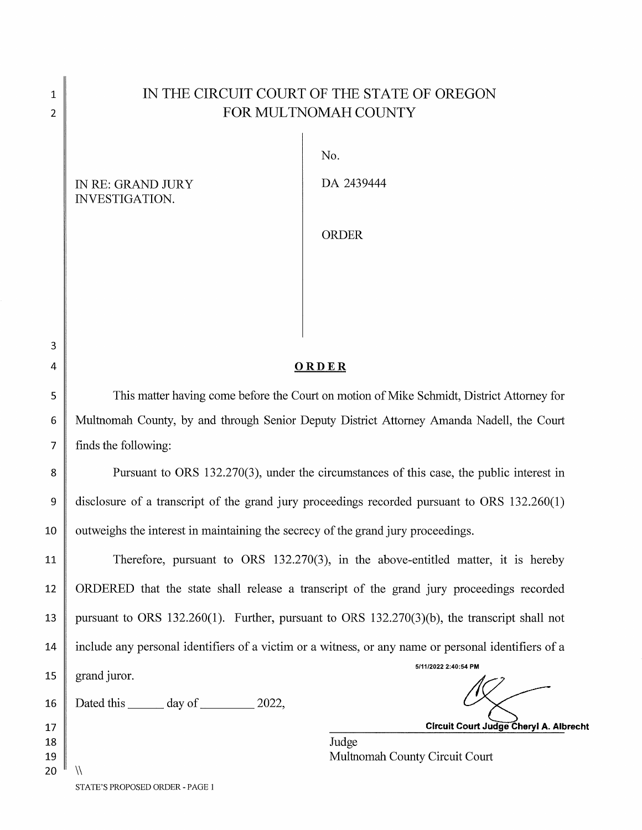## IN THE CIRCUIT COURT OF THE STATE OF OREGON FOR MULTNOMAH COUNTY

IN RE: GRAND JURY INVESTIGATION.

3 4

 $\mathbf{1}$  $\overline{2}$ 

5

6

7

 $\sqrt{}$ 

No.

DA 2439444

ORDER

## ORDER

This matter having come before the Court on motion of Mike Schmidt, District Attorney for Multnomah County, by and through Senior Deputy District Attorney Amanda Nadell, the Court finds the following:

8 9 10 Pursuant to ORS 132.270(3), under the circumstances of this case, the public interest in disclosure of a transcript of the grand jury proceedings recorded pursuant to ORS 132.260(1) outweighs the interest in maintaining the secrecy of the grand jury proceedings.

Therefore, pursuant to ORS 132.270(3), in the above-entitled matter, it is hereby 11 ORDERED that the state shall release a transcript of the grand jury proceedings recorded 12 pursuant to ORS 132.260(1). Further, pursuant to ORS 132.270(3)(b), the transcript shall not 13 include any personal identifiers of a victim or a witness, or any name or personal identifiers of a 14 5/11/2022 2:40:54 PM 15 grand juror. Dated this  $\_\_\_\_\$  day of  $\_\_\_\_\$  2022, 16

Circuit Court Judge Cheryl A. Albrecht

Judge Multnomah County Circuit Court

STATE'S PROPOSED ORDER - PAGE 1